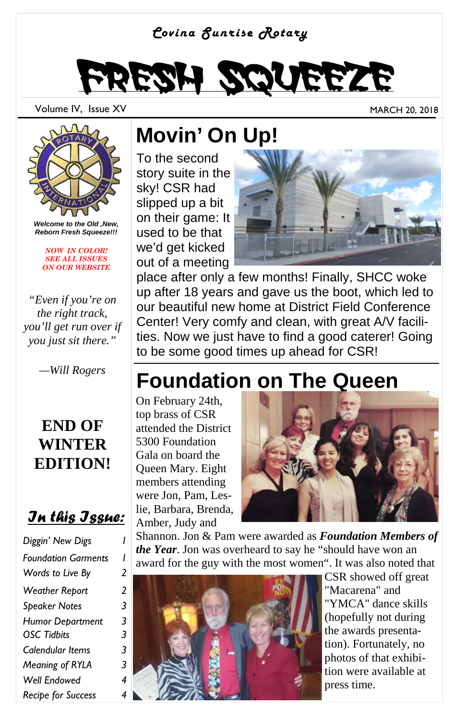#### *Covina Sunrise Rotary*



Volume IV, Issue XV and the Contract of the Contract of the MARCH 20, 2018



*Welcome to the Old ,New, Reborn Fresh Squeeze!!!* 

*NOW IN COLOR! SEE ALL ISSUES ON OUR WEBSITE*

*"Even if you're on the right track, you'll get run over if you just sit there."* 

#### **END OF WINTER EDITION!**

#### *In this Issue:*

| Diggin' New Digs           |   |
|----------------------------|---|
| <b>Foundation Garments</b> | ı |
| Words to Live By           | 2 |
| <b>Weather Report</b>      | 2 |
| <b>Speaker Notes</b>       | 3 |
| <b>Humor Debartment</b>    | 3 |
| <b>OSC Tidbits</b>         | 3 |
| Calendular Items           | 3 |
| Meaning of RYLA            | 3 |
| Well Endowed               | 4 |
| <b>Recipe for Success</b>  | 4 |

### **Movin' On Up!**

To the second story suite in the sky! CSR had slipped up a bit on their game: It used to be that we'd get kicked out of a meeting



place after only a few months! Finally, SHCC woke up after 18 years and gave us the boot, which led to our beautiful new home at District Field Conference Center! Very comfy and clean, with great A/V facilities. Now we just have to find a good caterer! Going to be some good times up ahead for CSR!

### *—Will Rogers* **Foundation on The Queen**

On February 24th, top brass of CSR attended the District 5300 Foundation Gala on board the Queen Mary. Eight members attending were Jon, Pam, Leslie, Barbara, Brenda, Amber, Judy and



Shannon. Jon & Pam were awarded as *Foundation Members of the Year*. Jon was overheard to say he "should have won an award for the guy with the most women". It was also noted that

![](_page_0_Picture_20.jpeg)

CSR showed off great "Macarena" and "YMCA" dance skills (hopefully not during the awards presentation). Fortunately, no photos of that exhibition were available at press time.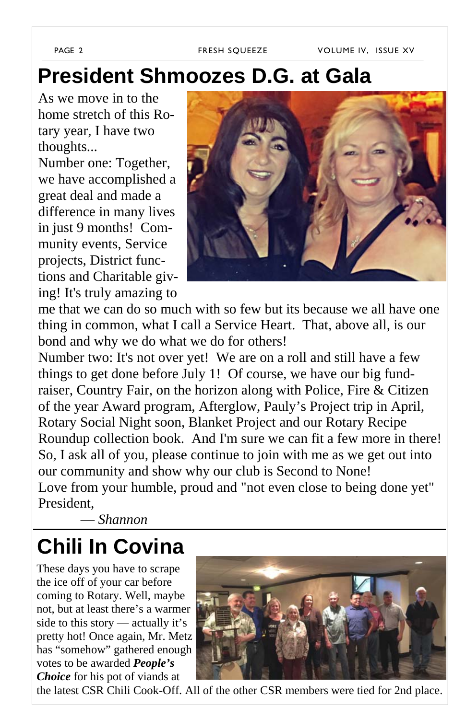### **President Shmoozes D.G. at Gala**

As we move in to the home stretch of this Rotary year, I have two thoughts...

Number one: Together, we have accomplished a great deal and made a difference in many lives in just 9 months! Community events, Service projects, District functions and Charitable giving! It's truly amazing to

![](_page_1_Picture_5.jpeg)

me that we can do so much with so few but its because we all have one thing in common, what I call a Service Heart. That, above all, is our bond and why we do what we do for others!

Number two: It's not over yet! We are on a roll and still have a few things to get done before July 1! Of course, we have our big fundraiser, Country Fair, on the horizon along with Police, Fire & Citizen of the year Award program, Afterglow, Pauly's Project trip in April, Rotary Social Night soon, Blanket Project and our Rotary Recipe Roundup collection book. And I'm sure we can fit a few more in there! So, I ask all of you, please continue to join with me as we get out into our community and show why our club is Second to None! Love from your humble, proud and "not even close to being done yet" President,

— *Shannon*

### **Chili In Covina**

These days you have to scrape the ice off of your car before coming to Rotary. Well, maybe not, but at least there's a warmer side to this story — actually it's pretty hot! Once again, Mr. Metz has "somehow" gathered enough votes to be awarded *People's Choice* for his pot of viands at

![](_page_1_Picture_11.jpeg)

the latest CSR Chili Cook-Off. All of the other CSR members were tied for 2nd place.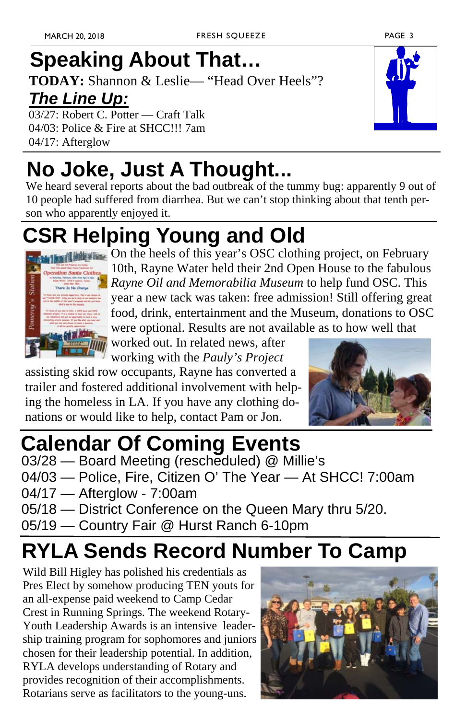# **Speaking About That…**

**TODAY:** Shannon & Leslie— "Head Over Heels"?

### *The Line Up:*

03/27: Robert C. Potter — Craft Talk 04/03: Police & Fire at SHCC!!! 7am 04/17: Afterglow

# **No Joke, Just A Thought...**

We heard several reports about the bad outbreak of the tummy bug: apparently 9 out of 10 people had suffered from diarrhea. But we can't stop thinking about that tenth person who apparently enjoyed it.

## **CSR Helping Young and Old**

![](_page_2_Picture_9.jpeg)

**MENDERGER On the heels of this year's OSC clothing project, on February** 10th, Rayne Water held their 2nd Open House to the fabulous *Rayne Oil and Memorabilia Museum* to help fund OSC. This year a new tack was taken: free admission! Still offering great food, drink, entertainment and the Museum, donations to OSC were optional. Results are not available as to how well that

worked out. In related news, after working with the *Pauly's Project*

assisting skid row occupants, Rayne has converted a trailer and fostered additional involvement with helping the homeless in LA. If you have any clothing donations or would like to help, contact Pam or Jon.

![](_page_2_Picture_13.jpeg)

### **Calendar Of Coming Events**

- 03/28 Board Meeting (rescheduled) @ Millie's
- 04/03 Police, Fire, Citizen O' The Year At SHCC! 7:00am
- 04/17 Afterglow 7:00am
- 05/18 District Conference on the Queen Mary thru 5/20.
- 05/19 Country Fair @ Hurst Ranch 6-10pm

### **RYLA Sends Record Number To Camp**

Wild Bill Higley has polished his credentials as Pres Elect by somehow producing TEN youts for an all-expense paid weekend to Camp Cedar Crest in Running Springs. The weekend Rotary-Youth Leadership Awards is an intensive leadership training program for sophomores and juniors chosen for their leadership potential. In addition, RYLA develops understanding of Rotary and provides recognition of their accomplishments. Rotarians serve as facilitators to the young-uns.

![](_page_2_Picture_22.jpeg)

![](_page_2_Picture_24.jpeg)